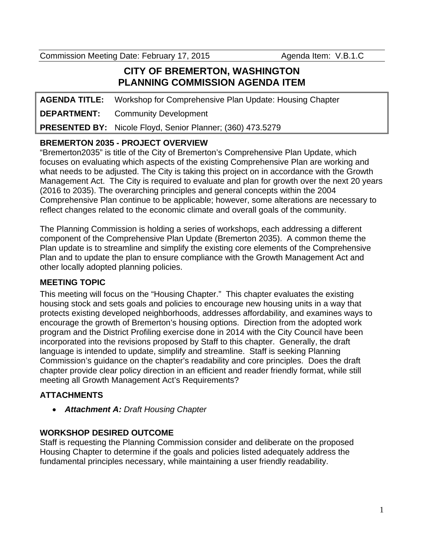Commission Meeting Date: February 17, 2015 Agenda Item: V.B.1.C

## **CITY OF BREMERTON, WASHINGTON PLANNING COMMISSION AGENDA ITEM**

**AGENDA TITLE:** Workshop for Comprehensive Plan Update: Housing Chapter **DEPARTMENT:** Community Development **PRESENTED BY:** Nicole Floyd, Senior Planner; (360) 473.5279

### **BREMERTON 2035 - PROJECT OVERVIEW**

"Bremerton2035" is title of the City of Bremerton's Comprehensive Plan Update, which focuses on evaluating which aspects of the existing Comprehensive Plan are working and what needs to be adjusted. The City is taking this project on in accordance with the Growth Management Act. The City is required to evaluate and plan for growth over the next 20 years (2016 to 2035). The overarching principles and general concepts within the 2004 Comprehensive Plan continue to be applicable; however, some alterations are necessary to reflect changes related to the economic climate and overall goals of the community.

The Planning Commission is holding a series of workshops, each addressing a different component of the Comprehensive Plan Update (Bremerton 2035). A common theme the Plan update is to streamline and simplify the existing core elements of the Comprehensive Plan and to update the plan to ensure compliance with the Growth Management Act and other locally adopted planning policies.

#### **MEETING TOPIC**

This meeting will focus on the "Housing Chapter." This chapter evaluates the existing housing stock and sets goals and policies to encourage new housing units in a way that protects existing developed neighborhoods, addresses affordability, and examines ways to encourage the growth of Bremerton's housing options. Direction from the adopted work program and the District Profiling exercise done in 2014 with the City Council have been incorporated into the revisions proposed by Staff to this chapter. Generally, the draft language is intended to update, simplify and streamline. Staff is seeking Planning Commission's guidance on the chapter's readability and core principles. Does the draft chapter provide clear policy direction in an efficient and reader friendly format, while still meeting all Growth Management Act's Requirements?

#### **ATTACHMENTS**

*Attachment A: Draft Housing Chapter*

#### **WORKSHOP DESIRED OUTCOME**

Staff is requesting the Planning Commission consider and deliberate on the proposed Housing Chapter to determine if the goals and policies listed adequately address the fundamental principles necessary, while maintaining a user friendly readability.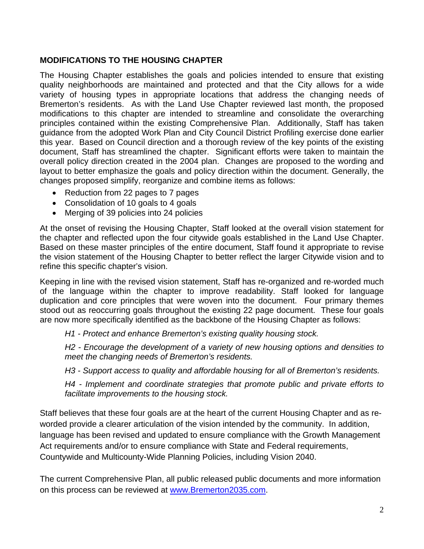#### **MODIFICATIONS TO THE HOUSING CHAPTER**

The Housing Chapter establishes the goals and policies intended to ensure that existing quality neighborhoods are maintained and protected and that the City allows for a wide variety of housing types in appropriate locations that address the changing needs of Bremerton's residents. As with the Land Use Chapter reviewed last month, the proposed modifications to this chapter are intended to streamline and consolidate the overarching principles contained within the existing Comprehensive Plan. Additionally, Staff has taken guidance from the adopted Work Plan and City Council District Profiling exercise done earlier this year. Based on Council direction and a thorough review of the key points of the existing document, Staff has streamlined the chapter. Significant efforts were taken to maintain the overall policy direction created in the 2004 plan. Changes are proposed to the wording and layout to better emphasize the goals and policy direction within the document. Generally, the changes proposed simplify, reorganize and combine items as follows:

- Reduction from 22 pages to 7 pages
- Consolidation of 10 goals to 4 goals
- Merging of 39 policies into 24 policies

At the onset of revising the Housing Chapter, Staff looked at the overall vision statement for the chapter and reflected upon the four citywide goals established in the Land Use Chapter. Based on these master principles of the entire document, Staff found it appropriate to revise the vision statement of the Housing Chapter to better reflect the larger Citywide vision and to refine this specific chapter's vision.

Keeping in line with the revised vision statement, Staff has re-organized and re-worded much of the language within the chapter to improve readability. Staff looked for language duplication and core principles that were woven into the document. Four primary themes stood out as reoccurring goals throughout the existing 22 page document. These four goals are now more specifically identified as the backbone of the Housing Chapter as follows:

*H1 - Protect and enhance Bremerton's existing quality housing stock.* 

*H2 - Encourage the development of a variety of new housing options and densities to meet the changing needs of Bremerton's residents.* 

*H3 - Support access to quality and affordable housing for all of Bremerton's residents.* 

*H4 - Implement and coordinate strategies that promote public and private efforts to facilitate improvements to the housing stock.* 

Staff believes that these four goals are at the heart of the current Housing Chapter and as reworded provide a clearer articulation of the vision intended by the community. In addition, language has been revised and updated to ensure compliance with the Growth Management Act requirements and/or to ensure compliance with State and Federal requirements, Countywide and Multicounty-Wide Planning Policies, including Vision 2040.

The current Comprehensive Plan, all public released public documents and more information on this process can be reviewed at www.Bremerton2035.com.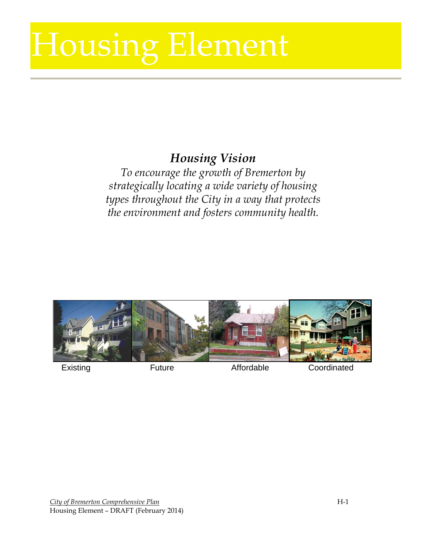# Housing Element Housing Element

# *Housing Vision*

*To encourage the growth of Bremerton by strategically locating a wide variety of housing types throughout the City in a way that protects the environment and fosters community health.*



Existing **Future Existing Existing Existing Existing**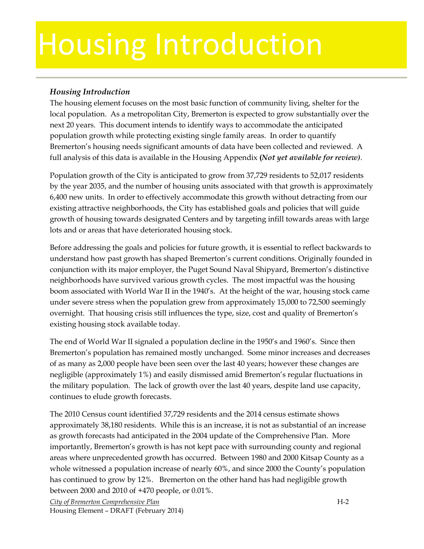# Housing Introduction

#### *Housing Introduction*

The housing element focuses on the most basic function of community living, shelter for the local population. As a metropolitan City, Bremerton is expected to grow substantially over the next 20 years. This document intends to identify ways to accommodate the anticipated population growth while protecting existing single family areas. In order to quantify Bremerton's housing needs significant amounts of data have been collected and reviewed. A full analysis of this data is available in the Housing Appendix **(***Not yet available for review)*.

Population growth of the City is anticipated to grow from 37,729 residents to 52,017 residents by the year 2035, and the number of housing units associated with that growth is approximately 6,400 new units. In order to effectively accommodate this growth without detracting from our existing attractive neighborhoods, the City has established goals and policies that will guide growth of housing towards designated Centers and by targeting infill towards areas with large lots and or areas that have deteriorated housing stock.

Before addressing the goals and policies for future growth, it is essential to reflect backwards to understand how past growth has shaped Bremerton's current conditions. Originally founded in conjunction with its major employer, the Puget Sound Naval Shipyard, Bremerton's distinctive neighborhoods have survived various growth cycles. The most impactful was the housing boom associated with World War II in the 1940's. At the height of the war, housing stock came under severe stress when the population grew from approximately 15,000 to 72,500 seemingly overnight. That housing crisis still influences the type, size, cost and quality of Bremerton's existing housing stock available today.

The end of World War II signaled a population decline in the 1950's and 1960's. Since then Bremerton's population has remained mostly unchanged. Some minor increases and decreases of as many as 2,000 people have been seen over the last 40 years; however these changes are negligible (approximately 1%) and easily dismissed amid Bremerton's regular fluctuations in the military population. The lack of growth over the last 40 years, despite land use capacity, continues to elude growth forecasts.

The 2010 Census count identified 37,729 residents and the 2014 census estimate shows approximately 38,180 residents. While this is an increase, it is not as substantial of an increase as growth forecasts had anticipated in the 2004 update of the Comprehensive Plan. More importantly, Bremerton's growth is has not kept pace with surrounding county and regional areas where unprecedented growth has occurred. Between 1980 and 2000 Kitsap County as a whole witnessed a population increase of nearly 60%, and since 2000 the County's population has continued to grow by 12%. Bremerton on the other hand has had negligible growth between 2000 and 2010 of +470 people, or 0.01%.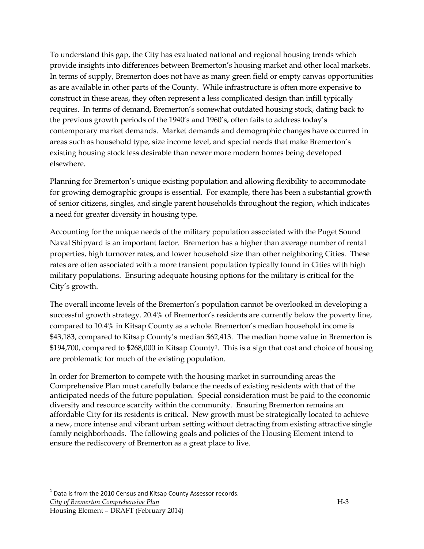To understand this gap, the City has evaluated national and regional housing trends which provide insights into differences between Bremerton's housing market and other local markets. In terms of supply, Bremerton does not have as many green field or empty canvas opportunities as are available in other parts of the County. While infrastructure is often more expensive to construct in these areas, they often represent a less complicated design than infill typically requires. In terms of demand, Bremerton's somewhat outdated housing stock, dating back to the previous growth periods of the 1940's and 1960's, often fails to address today's contemporary market demands. Market demands and demographic changes have occurred in areas such as household type, size income level, and special needs that make Bremerton's existing housing stock less desirable than newer more modern homes being developed elsewhere.

Planning for Bremerton's unique existing population and allowing flexibility to accommodate for growing demographic groups is essential. For example, there has been a substantial growth of senior citizens, singles, and single parent households throughout the region, which indicates a need for greater diversity in housing type.

Accounting for the unique needs of the military population associated with the Puget Sound Naval Shipyard is an important factor. Bremerton has a higher than average number of rental properties, high turnover rates, and lower household size than other neighboring Cities. These rates are often associated with a more transient population typically found in Cities with high military populations. Ensuring adequate housing options for the military is critical for the City's growth.

The overall income levels of the Bremerton's population cannot be overlooked in developing a successful growth strategy. 20.4% of Bremerton's residents are currently below the poverty line, compared to 10.4% in Kitsap County as a whole. Bremerton's median household income is \$43,183, compared to Kitsap County's median \$62,413. The median home value in Bremerton is \$194,700, compared to \$268,000 in Kitsap County[1](#page-4-0). This is a sign that cost and choice of housing are problematic for much of the existing population.

In order for Bremerton to compete with the housing market in surrounding areas the Comprehensive Plan must carefully balance the needs of existing residents with that of the anticipated needs of the future population. Special consideration must be paid to the economic diversity and resource scarcity within the community. Ensuring Bremerton remains an affordable City for its residents is critical. New growth must be strategically located to achieve a new, more intense and vibrant urban setting without detracting from existing attractive single family neighborhoods. The following goals and policies of the Housing Element intend to ensure the rediscovery of Bremerton as a great place to live.

<span id="page-4-0"></span> $1$  Data is from the 2010 Census and Kitsap County Assessor records.

*City of Bremerton Comprehensive Plan* H-3

Housing Element – DRAFT (February 2014)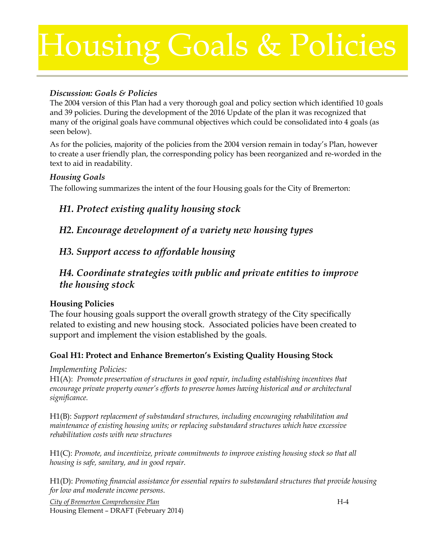# Housing Goals & Policies

#### *Discussion: Goals & Policies*

The 2004 version of this Plan had a very thorough goal and policy section which identified 10 goals and 39 policies. During the development of the 2016 Update of the plan it was recognized that many of the original goals have communal objectives which could be consolidated into 4 goals (as seen below).

As for the policies, majority of the policies from the 2004 version remain in today's Plan, however to create a user friendly plan, the corresponding policy has been reorganized and re-worded in the text to aid in readability.

#### *Housing Goals*

The following summarizes the intent of the four Housing goals for the City of Bremerton:

# *H1. Protect existing quality housing stock*

*H2. Encourage development of a variety new housing types*

### *H3. Support access to affordable housing*

### *H4. Coordinate strategies with public and private entities to improve the housing stock*

#### **Housing Policies**

The four housing goals support the overall growth strategy of the City specifically related to existing and new housing stock. Associated policies have been created to support and implement the vision established by the goals.

#### **Goal H1: Protect and Enhance Bremerton's Existing Quality Housing Stock**

*Implementing Policies:*

H1(A): *Promote preservation of structures in good repair, including establishing incentives that encourage private property owner's efforts to preserve homes having historical and or architectural significance.* 

H1(B): *Support replacement of substandard structures, including encouraging rehabilitation and maintenance of existing housing units; or replacing substandard structures which have excessive rehabilitation costs with new structures*

H1(C): *Promote, and incentivize, private commitments to improve existing housing stock so that all housing is safe, sanitary, and in good repair.* 

H1(D): *Promoting financial assistance for essential repairs to substandard structures that provide housing for low and moderate income persons.*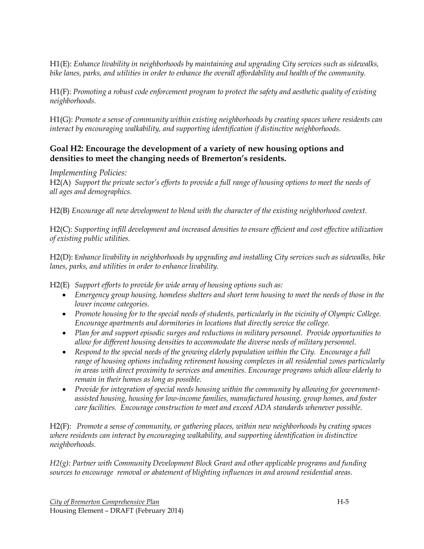H1(E): *Enhance livability in neighborhoods by maintaining and upgrading City services such as sidewalks, bike lanes, parks, and utilities in order to enhance the overall affordability and health of the community.*

H1(F): *Promoting a robust code enforcement program to protect the safety and aesthetic quality of existing neighborhoods.* 

H1(G): *Promote a sense of community within existing neighborhoods by creating spaces where residents can interact by encouraging walkability, and supporting identification if distinctive neighborhoods.*

#### **Goal H2: Encourage the development of a variety of new housing options and densities to meet the changing needs of Bremerton's residents.**

*Implementing Policies:*

H2(A) *Support the private sector's efforts to provide a full range of housing options to meet the needs of all ages and demographics.*

H2(B) *Encourage all new development to blend with the character of the existing neighborhood context.*

H2(C): *Supporting infill development and increased densities to ensure efficient and cost effective utilization of existing public utilities.*

H2(D): E*nhance livability in neighborhoods by upgrading and installing City services such as sidewalks, bike lanes, parks, and utilities in order to enhance livability.*

H2(E) *Support efforts to provide for wide array of housing options such as:*

- *Emergency group housing, homeless shelters and short term housing to meet the needs of those in the lower income categories.*
- *Promote housing for to the special needs of students, particularly in the vicinity of Olympic College. Encourage apartments and dormitories in locations that directly service the college.*
- *Plan for and support episodic surges and reductions in military personnel. Provide opportunities to allow for different housing densities to accommodate the diverse needs of military personnel.*
- Respond to the special needs of the growing elderly population within the City. Encourage a full *range of housing options including retirement housing complexes in all residential zones particularly in areas with direct proximity to services and amenities. Encourage programs which allow elderly to remain in their homes as long as possible.*
- Provide for integration of special needs housing within the community by allowing for government*assisted housing, housing for low-income families, manufactured housing, group homes, and foster care facilities. Encourage construction to meet and exceed ADA standards whenever possible.*

H2(F): *Promote a sense of community, or gathering places, within new neighborhoods by crating spaces where residents can interact by encouraging walkability, and supporting identification in distinctive neighborhoods.*

*H2(g): Partner with Community Development Block Grant and other applicable programs and funding sources to encourage removal or abatement of blighting influences in and around residential areas.*